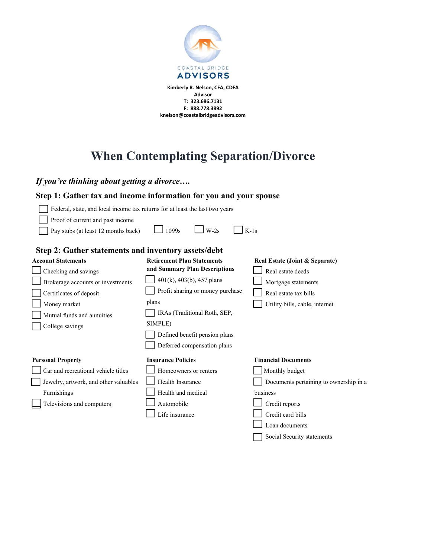

Advisor T: 323.686.7131 F: 888.778.3892 knelson@coastalbridgeadvisors.com

# When Contemplating Separation/Divorce

If you're thinking about getting a divorce….

# Step 1: Gather tax and income information for you and your spouse

| Federal, state, and local income tax returns for at least the last two years                                        |                                   |                                |
|---------------------------------------------------------------------------------------------------------------------|-----------------------------------|--------------------------------|
| Proof of current and past income<br>$\Box$ Pay stubs (at least 12 months back) $\Box$ 1099s $\Box$ W-2s $\Box$ K-1s |                                   |                                |
|                                                                                                                     |                                   |                                |
| Step 2: Gather statements and inventory assets/debt                                                                 |                                   |                                |
| <b>Account Statements</b>                                                                                           | <b>Retirement Plan Statements</b> | Real Estate (Joint & Separate) |
| $\Box$ Checking and savings                                                                                         | and Summary Plan Descriptions     | Real estate deeds              |

| Checking and savings                  | and Summary Plan Descriptions    | Real estate deeds                      |
|---------------------------------------|----------------------------------|----------------------------------------|
| Brokerage accounts or investments     | 401(k), 403(b), 457 plans        | Mortgage statements                    |
| Certificates of deposit               | Profit sharing or money purchase | Real estate tax bills                  |
| Money market                          | plans                            | Utility bills, cable, internet         |
| Mutual funds and annuities            | IRAs (Traditional Roth, SEP,     |                                        |
| College savings                       | SIMPLE)                          |                                        |
|                                       | Defined benefit pension plans    |                                        |
|                                       | Deferred compensation plans      |                                        |
|                                       |                                  |                                        |
| <b>Personal Property</b>              | <b>Insurance Policies</b>        | <b>Financial Documents</b>             |
| Car and recreational vehicle titles   | Homeowners or renters            | Monthly budget                         |
| Jewelry, artwork, and other valuables | Health Insurance                 | Documents pertaining to ownership in a |
| Furnishings                           | Health and medical               | business                               |
| Televisions and computers             | Automobile                       | Credit reports                         |
|                                       | Life insurance                   | Credit card bills                      |

Social Security statements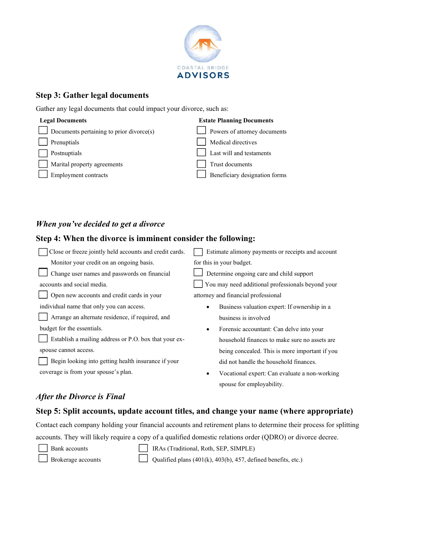

# Step 3: Gather legal documents

Gather any legal documents that could impact your divorce, such as:

| <b>Legal Documents</b>                   | <b>Estate Planning Documents</b> |
|------------------------------------------|----------------------------------|
| Documents pertaining to prior divorce(s) | Powers of attorney documents     |
| $\Box$ Prenuptials                       | Medical directives               |
| Postnuptials                             | Last will and testaments         |
| Marital property agreements              | Trust documents                  |
| Employment contracts                     | Beneficiary designation forms    |

# When you've decided to get a divorce

# Step 4: When the divorce is imminent consider the following:

| Close or freeze jointly held accounts and credit cards. | Estimate alimony payments or receipts and account          |
|---------------------------------------------------------|------------------------------------------------------------|
| Monitor your credit on an ongoing basis.                | for this in your budget.                                   |
| Change user names and passwords on financial            | Determine ongoing care and child support                   |
| accounts and social media.                              | You may need additional professionals beyond your          |
| Open new accounts and credit cards in your              | attorney and financial professional                        |
| individual name that only you can access.               | Business valuation expert: If ownership in a<br>٠          |
| Arrange an alternate residence, if required, and        | business is involved                                       |
| budget for the essentials.                              | Forensic accountant: Can delve into your<br>$\bullet$      |
| Establish a mailing address or P.O. box that your ex-   | household finances to make sure no assets are              |
| spouse cannot access.                                   | being concealed. This is more important if you             |
| Begin looking into getting health insurance if your     | did not handle the household finances.                     |
| coverage is from your spouse's plan.                    | Vocational expert: Can evaluate a non-working<br>$\bullet$ |
|                                                         | spouse for employability.                                  |

# After the Divorce is Final

#### Step 5: Split accounts, update account titles, and change your name (where appropriate)

Contact each company holding your financial accounts and retirement plans to determine their process for splitting

accounts. They will likely require a copy of a qualified domestic relations order (QDRO) or divorce decree.

- Bank accounts
- IRAs (Traditional, Roth, SEP, SIMPLE)

| Brokerage accounts |  |
|--------------------|--|

- - Qualified plans (401(k), 403(b), 457, defined benefits, etc.)